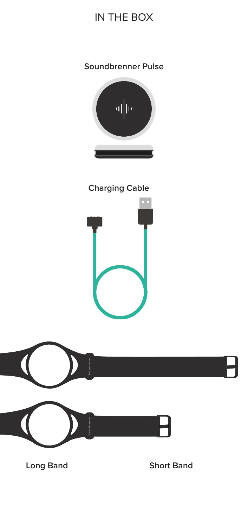# IN THE BOX

### **Soundbrenner Pulse**



**Charging Cable**





**Long Band Short Band**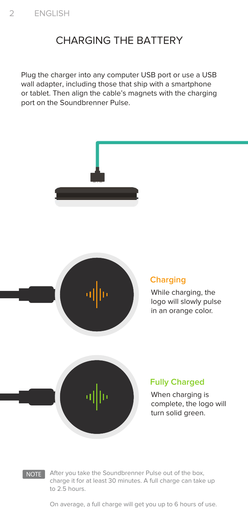## CHARGING THE BATTERY

Plug the charger into any computer USB port or use a USB wall adapter, including those that ship with a smartphone or tablet. Then align the cable's magnets with the charging port on the Soundbrenner Pulse.



NOTE After you take the Soundbrenner Pulse out of the box, charge it for at least 30 minutes. A full charge can take up to 2.5 hours.

On average, a full charge will get you up to 6 hours of use.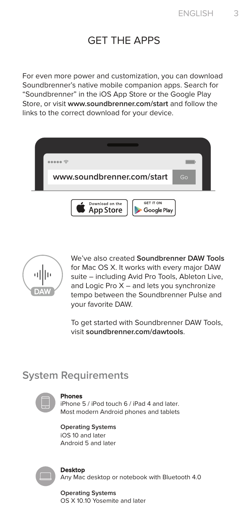### GET THE APPS

For even more power and customization, you can download Soundbrenner's native mobile companion apps. Search for "Soundbrenner" in the iOS App Store or the Google Play Store, or visit **www.soundbrenner.com/start** and follow the links to the correct download for your device.





We've also created **Soundbrenner DAW Tools** for Mac OS X. It works with every major DAW suite – including Avid Pro Tools, Ableton Live, and Logic Pro X – and lets you synchronize tempo between the Soundbrenner Pulse and your favorite DAW.

To get started with Soundbrenner DAW Tools, visit **soundbrenner.com/dawtools**.

### **System Requirements**



#### **Phones**

iPhone 5 / iPod touch 6 / iPad 4 and later. Most modern Android phones and tablets

**Operating Systems** iOS 10 and later Android 5 and later



#### **Desktop**

Any Mac desktop or notebook with Bluetooth 4.0

**Operating Systems** OS X 10.10 Yosemite and later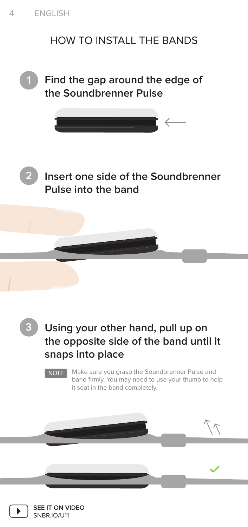# HOW TO INSTALL THE BANDS



**1 Find the gap around the edge of the Soundbrenner Pulse**





**Insert one side of the Soundbrenner Pulse into the band** 



# **Using your other hand, pull up on the opposite side of the band until it snaps into place**

NOTE | Make sure you grasp the Soundbrenner Pulse and band firmly. You may need to use your thumb to help it seat in the band completely.

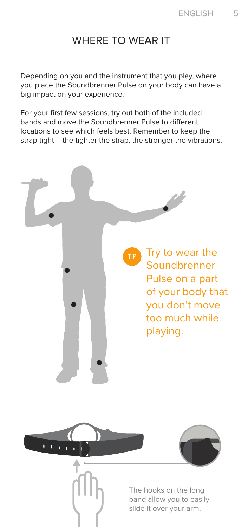### WHERE TO WEAR IT

Depending on you and the instrument that you play, where you place the Soundbrenner Pulse on your body can have a big impact on your experience.

For your first few sessions, try out both of the included bands and move the Soundbrenner Pulse to different locations to see which feels best. Remember to keep the strap tight – the tighter the strap, the stronger the vibrations.

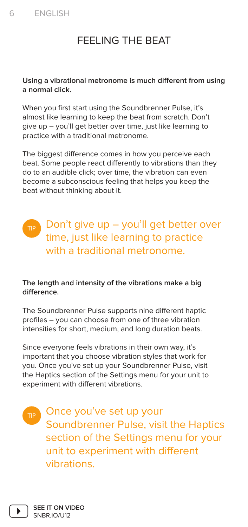# FEELING THE BEAT

### **Using a vibrational metronome is much different from using a normal click.**

When you first start using the Soundbrenner Pulse, it's almost like learning to keep the beat from scratch. Don't give up – you'll get better over time, just like learning to practice with a traditional metronome.

The biggest difference comes in how you perceive each beat. Some people react differently to vibrations than they do to an audible click; over time, the vibration can even become a subconscious feeling that helps you keep the beat without thinking about it.

### Don't give up – you'll get better over time, just like learning to practice with a traditional metronome.

### **The length and intensity of the vibrations make a big difference.**

The Soundbrenner Pulse supports nine different haptic profiles – you can choose from one of three vibration intensities for short, medium, and long duration beats.

Since everyone feels vibrations in their own way, it's important that you choose vibration styles that work for you. Once you've set up your Soundbrenner Pulse, visit the Haptics section of the Settings menu for your unit to experiment with different vibrations.

TIP Once you've set up your Soundbrenner Pulse, visit the Haptics section of the Settings menu for your unit to experiment with different vibrations.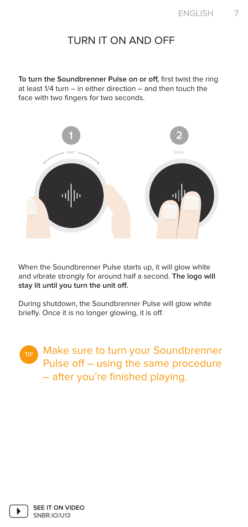### TURN IT ON AND OFF

**To turn the Soundbrenner Pulse on or off,** first twist the ring at least 1/4 turn – in either direction – and then touch the face with two fingers for two seconds.



When the Soundbrenner Pulse starts up, it will glow white and vibrate strongly for around half a second. **The logo will stay lit until you turn the unit off.** 

During shutdown, the Soundbrenner Pulse will glow white briefly. Once it is no longer glowing, it is off.

> **Make sure to turn your Soundbrenner** Pulse off – using the same procedure – after you're finished playing.

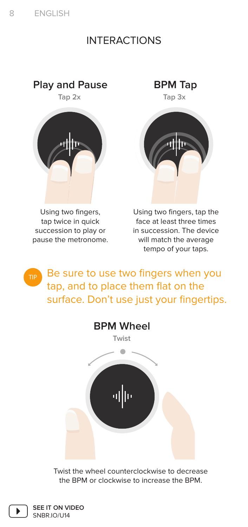### INTERACTIONS





Using two fingers, tap twice in quick succession to play or pause the metronome.

**Tap 2x Tap 3x**



Using two fingers, tap the face at least three times in succession. The device will match the average tempo of your taps.

TIP Be sure to use two fingers when you tap, and to place them flat on the surface. Don't use just your fingertips.



Twist the wheel counterclockwise to decrease the BPM or clockwise to increase the BPM.

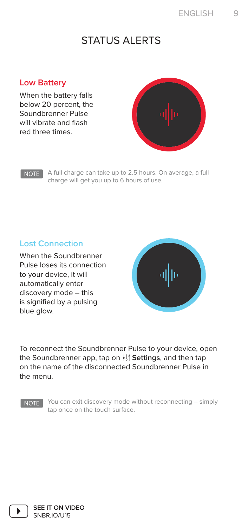### STATUS ALERTS

### **Low Battery**

When the battery falls below 20 percent, the Soundbrenner Pulse will vibrate and flash red three times.



#### NOTE

A full charge can take up to 2.5 hours. On average, a full charge will get you up to 6 hours of use.

### **Lost Connection**

When the Soundbrenner Pulse loses its connection to your device, it will automatically enter discovery mode – this is signified by a pulsing blue glow.



To reconnect the Soundbrenner Pulse to your device, open the Soundbrenner app, tap on **II**' **Settings**, and then tap on the name of the disconnected Soundbrenner Pulse in the menu.

NOTE

You can exit discovery mode without reconnecting – simply tap once on the touch surface.

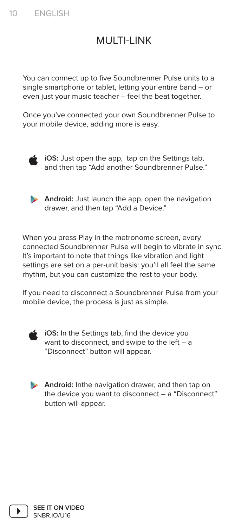## MULTI-LINK

You can connect up to five Soundbrenner Pulse units to a single smartphone or tablet, letting your entire band – or even just your music teacher – feel the beat together.

Once you've connected your own Soundbrenner Pulse to your mobile device, adding more is easy.



**iCS:** Just open the app, tap on the Settings tab, and then tap "Add another Soundbrenner Pulse."

**Android:** Just launch the app, open the navigation drawer, and then tap "Add a Device."

When you press Play in the metronome screen, every connected Soundbrenner Pulse will begin to vibrate in sync. It's important to note that things like vibration and light settings are set on a per-unit basis: you'll all feel the same rhythm, but you can customize the rest to your body.

If you need to disconnect a Soundbrenner Pulse from your mobile device, the process is just as simple.



**iCS:** In the Settings tab, find the device you want to disconnect, and swipe to the left – a "Disconnect" button will appear.

**Android:** Inthe navigation drawer, and then tap on the device you want to disconnect – a "Disconnect" button will appear.

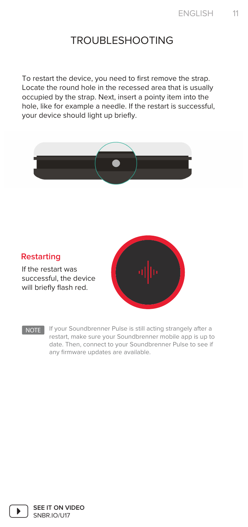### TROUBLESHOOTING

To restart the device, you need to first remove the strap. Locate the round hole in the recessed area that is usually occupied by the strap. Next, insert a pointy item into the hole, like for example a needle. If the restart is successful, your device should light up briefly.



### **Restarting**

If the restart was successful, the device will briefly flash red.



NOTE If your Soundbrenner Pulse is still acting strangely after a restart, make sure your Soundbrenner mobile app is up to date. Then, connect to your Soundbrenner Pulse to see if any firmware updates are available.

**SEE IT ON VIDEO** SNBR.IO/U17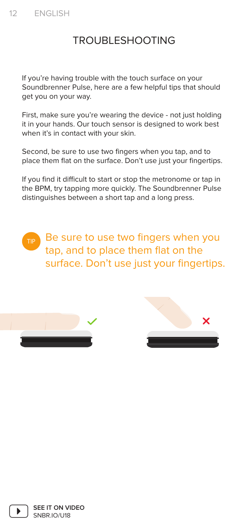## TROUBLESHOOTING

If you're having trouble with the touch surface on your Soundbrenner Pulse, here are a few helpful tips that should get you on your way.

First, make sure you're wearing the device - not just holding it in your hands. Our touch sensor is designed to work best when it's in contact with your skin.

Second, be sure to use two fingers when you tap, and to place them flat on the surface. Don't use just your fingertips.

If you find it difficult to start or stop the metronome or tap in the BPM, try tapping more quickly. The Soundbrenner Pulse distinguishes between a short tap and a long press.

Be sure to use two fingers when you tap, and to place them flat on the surface. Don't use just your fingertips.





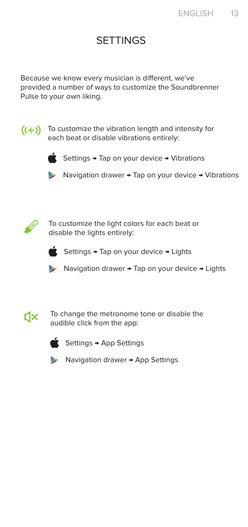### **SETTINGS**

Because we know every musician is different, we've provided a number of ways to customize the Soundbrenner Pulse to your own liking.



 $(\left( \cdot \| \cdot \right))$  To customize the vibration length and intensity for each beat or disable vibrations entirely:



Settings → Tap on your device → Vibrations

Navigation drawer → Tap on your device → Vibrations



To customize the light colors for each beat or disable the lights entirely:



Settings → Tap on your device → Lights



Navigation drawer → Tap on your device → Lights



To change the metronome tone or disable the audible click from the app:



 $S$ ettings  $\rightarrow$  App Settings



◆ Navigation drawer → App Settings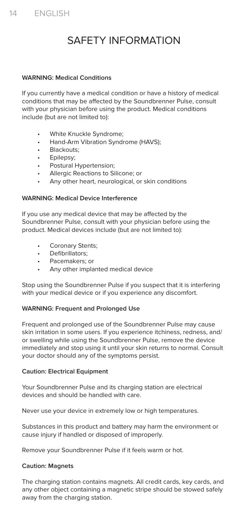# SAFETY INFORMATION

#### **WARNING: Medical Conditions**

If you currently have a medical condition or have a history of medical conditions that may be affected by the Soundbrenner Pulse, consult with your physician before using the product. Medical conditions include (but are not limited to):

- White Knuckle Syndrome;
- Hand-Arm Vibration Syndrome (HAVS);
- Blackouts;
- Epilepsy;
- Postural Hypertension;
- Allergic Reactions to Silicone; or
- Any other heart, neurological, or skin conditions

#### **WARNING: Medical Device Interference**

If you use any medical device that may be affected by the Soundbrenner Pulse, consult with your physician before using the product. Medical devices include (but are not limited to):

- Coronary Stents:
- Defibrillators;
- Pacemakers; or
- Any other implanted medical device

Stop using the Soundbrenner Pulse if you suspect that it is interfering with your medical device or if you experience any discomfort.

#### **WARNING: Frequent and Prolonged Use**

Frequent and prolonged use of the Soundbrenner Pulse may cause skin irritation in some users. If you experience itchiness, redness, and/ or swelling while using the Soundbrenner Pulse, remove the device immediately and stop using it until your skin returns to normal. Consult your doctor should any of the symptoms persist.

#### **Caution: Electrical Equipment**

Your Soundbrenner Pulse and its charging station are electrical devices and should be handled with care.

Never use your device in extremely low or high temperatures.

Substances in this product and battery may harm the environment or cause injury if handled or disposed of improperly.

Remove your Soundbrenner Pulse if it feels warm or hot.

#### **Caution: Magnets**

The charging station contains magnets. All credit cards, key cards, and any other object containing a magnetic stripe should be stowed safely away from the charging station.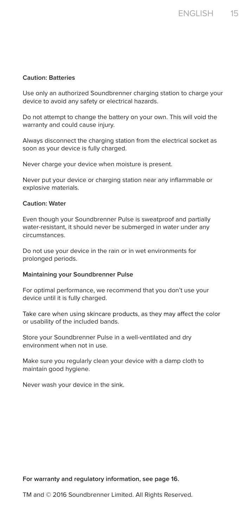#### **Caution: Batteries**

Use only an authorized Soundbrenner charging station to charge your device to avoid any safety or electrical hazards.

Do not attempt to change the battery on your own. This will void the warranty and could cause injury.

Always disconnect the charging station from the electrical socket as soon as your device is fully charged.

Never charge your device when moisture is present.

Never put your device or charging station near any inflammable or explosive materials.

#### **Caution: Water**

Even though your Soundbrenner Pulse is sweatproof and partially water-resistant, it should never be submerged in water under any circumstances.

Do not use your device in the rain or in wet environments for prolonged periods.

#### **Maintaining your Soundbrenner Pulse**

For optimal performance, we recommend that you don't use your device until it is fully charged.

Take care when using skincare products, as they may affect the color or usability of the included bands.

Store your Soundbrenner Pulse in a well-ventilated and dry environment when not in use.

Make sure you regularly clean your device with a damp cloth to maintain good hygiene.

Never wash your device in the sink.

#### **For warranty and regulatory information, see page 16.**

TM and © 2016 Soundbrenner Limited. All Rights Reserved.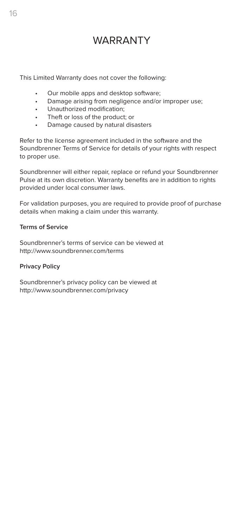## WARRANTY

This Limited Warranty does not cover the following:

- Our mobile apps and desktop software;
- Damage arising from negligence and/or improper use;
- Unauthorized modification;
- Theft or loss of the product; or
- Damage caused by natural disasters

Refer to the license agreement included in the software and the Soundbrenner Terms of Service for details of your rights with respect to proper use.

Soundbrenner will either repair, replace or refund your Soundbrenner Pulse at its own discretion. Warranty benefits are in addition to rights provided under local consumer laws.

For validation purposes, you are required to provide proof of purchase details when making a claim under this warranty.

#### **Terms of Service**

Soundbrenner's terms of service can be viewed at http://www.soundbrenner.com/terms

#### **Privacy Policy**

Soundbrenner's privacy policy can be viewed at http://www.soundbrenner.com/privacy